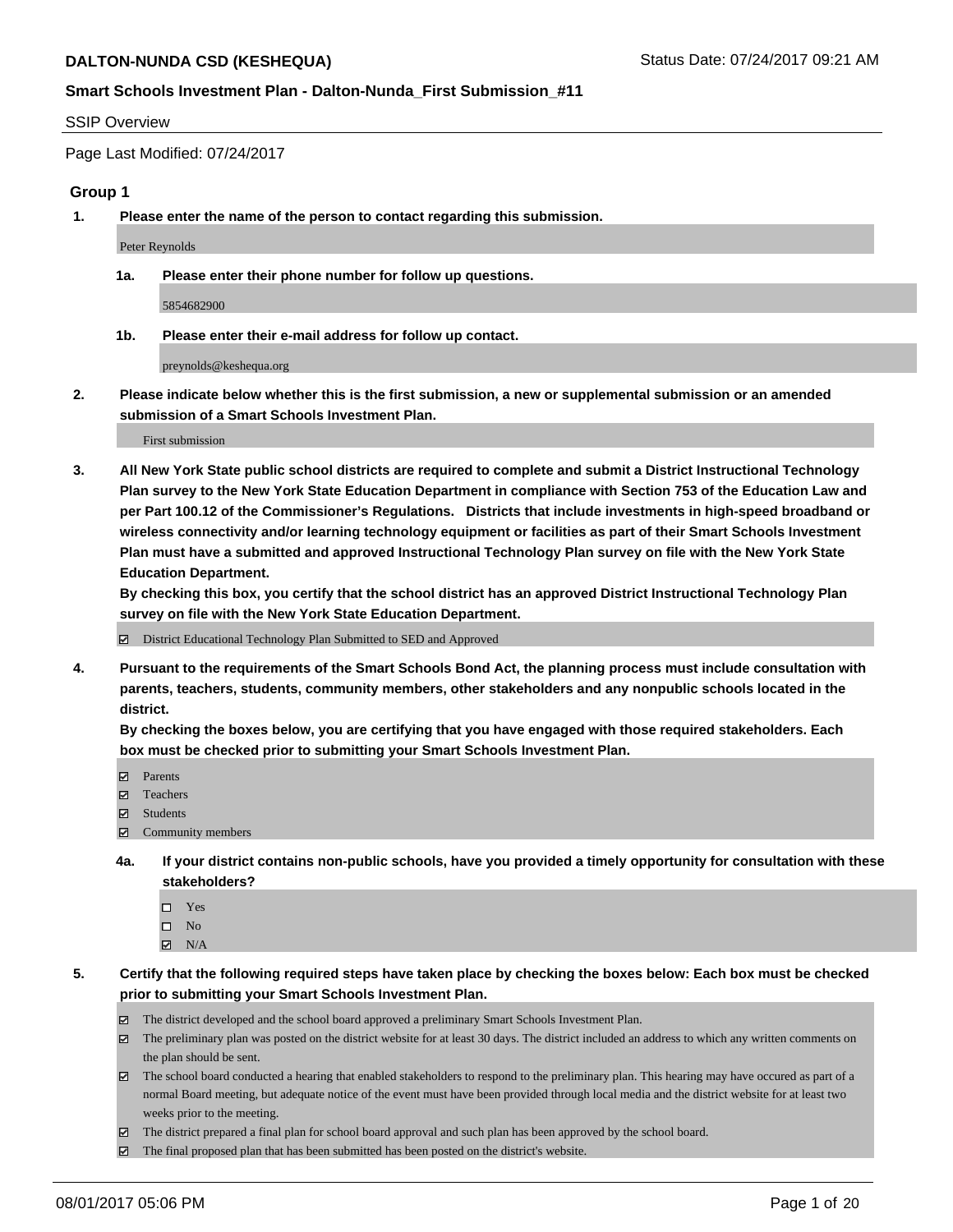#### SSIP Overview

Page Last Modified: 07/24/2017

#### **Group 1**

**1. Please enter the name of the person to contact regarding this submission.**

Peter Reynolds

**1a. Please enter their phone number for follow up questions.**

5854682900

**1b. Please enter their e-mail address for follow up contact.**

preynolds@keshequa.org

**2. Please indicate below whether this is the first submission, a new or supplemental submission or an amended submission of a Smart Schools Investment Plan.**

First submission

**3. All New York State public school districts are required to complete and submit a District Instructional Technology Plan survey to the New York State Education Department in compliance with Section 753 of the Education Law and per Part 100.12 of the Commissioner's Regulations. Districts that include investments in high-speed broadband or wireless connectivity and/or learning technology equipment or facilities as part of their Smart Schools Investment Plan must have a submitted and approved Instructional Technology Plan survey on file with the New York State Education Department.** 

**By checking this box, you certify that the school district has an approved District Instructional Technology Plan survey on file with the New York State Education Department.**

District Educational Technology Plan Submitted to SED and Approved

**4. Pursuant to the requirements of the Smart Schools Bond Act, the planning process must include consultation with parents, teachers, students, community members, other stakeholders and any nonpublic schools located in the district.** 

**By checking the boxes below, you are certifying that you have engaged with those required stakeholders. Each box must be checked prior to submitting your Smart Schools Investment Plan.**

- **マ** Parents
- □ Teachers
- Students
- $\Xi$  Community members
- **4a. If your district contains non-public schools, have you provided a timely opportunity for consultation with these stakeholders?**
	- Yes
	- $\hfill \square$  No
	- $\boxtimes$  N/A
- **5. Certify that the following required steps have taken place by checking the boxes below: Each box must be checked prior to submitting your Smart Schools Investment Plan.**
	- The district developed and the school board approved a preliminary Smart Schools Investment Plan.
	- $\boxtimes$  The preliminary plan was posted on the district website for at least 30 days. The district included an address to which any written comments on the plan should be sent.
	- $\boxtimes$  The school board conducted a hearing that enabled stakeholders to respond to the preliminary plan. This hearing may have occured as part of a normal Board meeting, but adequate notice of the event must have been provided through local media and the district website for at least two weeks prior to the meeting.
	- The district prepared a final plan for school board approval and such plan has been approved by the school board.
	- $\boxtimes$  The final proposed plan that has been submitted has been posted on the district's website.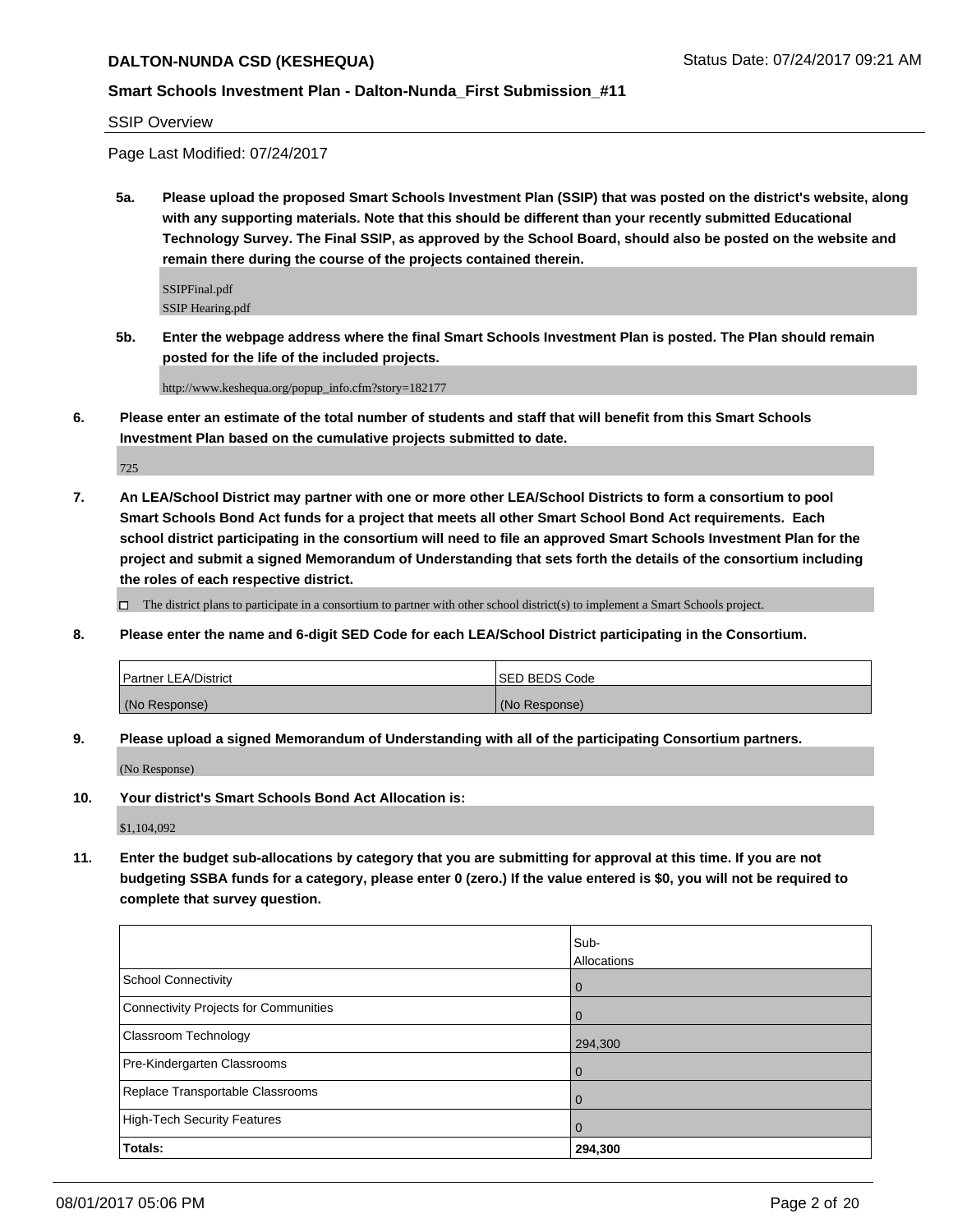# **Smart Schools Investment Plan - Dalton-Nunda\_First Submission\_#11**

SSIP Overview

Page Last Modified: 07/24/2017

**5a. Please upload the proposed Smart Schools Investment Plan (SSIP) that was posted on the district's website, along with any supporting materials. Note that this should be different than your recently submitted Educational Technology Survey. The Final SSIP, as approved by the School Board, should also be posted on the website and remain there during the course of the projects contained therein.**

SSIPFinal.pdf SSIP Hearing.pdf

**5b. Enter the webpage address where the final Smart Schools Investment Plan is posted. The Plan should remain posted for the life of the included projects.**

http://www.keshequa.org/popup\_info.cfm?story=182177

**6. Please enter an estimate of the total number of students and staff that will benefit from this Smart Schools Investment Plan based on the cumulative projects submitted to date.**

725

**7. An LEA/School District may partner with one or more other LEA/School Districts to form a consortium to pool Smart Schools Bond Act funds for a project that meets all other Smart School Bond Act requirements. Each school district participating in the consortium will need to file an approved Smart Schools Investment Plan for the project and submit a signed Memorandum of Understanding that sets forth the details of the consortium including the roles of each respective district.**

 $\Box$  The district plans to participate in a consortium to partner with other school district(s) to implement a Smart Schools project.

**8. Please enter the name and 6-digit SED Code for each LEA/School District participating in the Consortium.**

| <b>Partner LEA/District</b> | <b>SED BEDS Code</b> |
|-----------------------------|----------------------|
| (No Response)               | (No Response)        |

**9. Please upload a signed Memorandum of Understanding with all of the participating Consortium partners.**

(No Response)

**10. Your district's Smart Schools Bond Act Allocation is:**

\$1,104,092

**11. Enter the budget sub-allocations by category that you are submitting for approval at this time. If you are not budgeting SSBA funds for a category, please enter 0 (zero.) If the value entered is \$0, you will not be required to complete that survey question.**

|                                       | Sub-               |
|---------------------------------------|--------------------|
|                                       | <b>Allocations</b> |
| <b>School Connectivity</b>            | $\overline{0}$     |
| Connectivity Projects for Communities | $\overline{0}$     |
| <b>Classroom Technology</b>           | 294,300            |
| Pre-Kindergarten Classrooms           | $\overline{0}$     |
| Replace Transportable Classrooms      | $\Omega$           |
| High-Tech Security Features           | $\overline{0}$     |
| Totals:                               | 294,300            |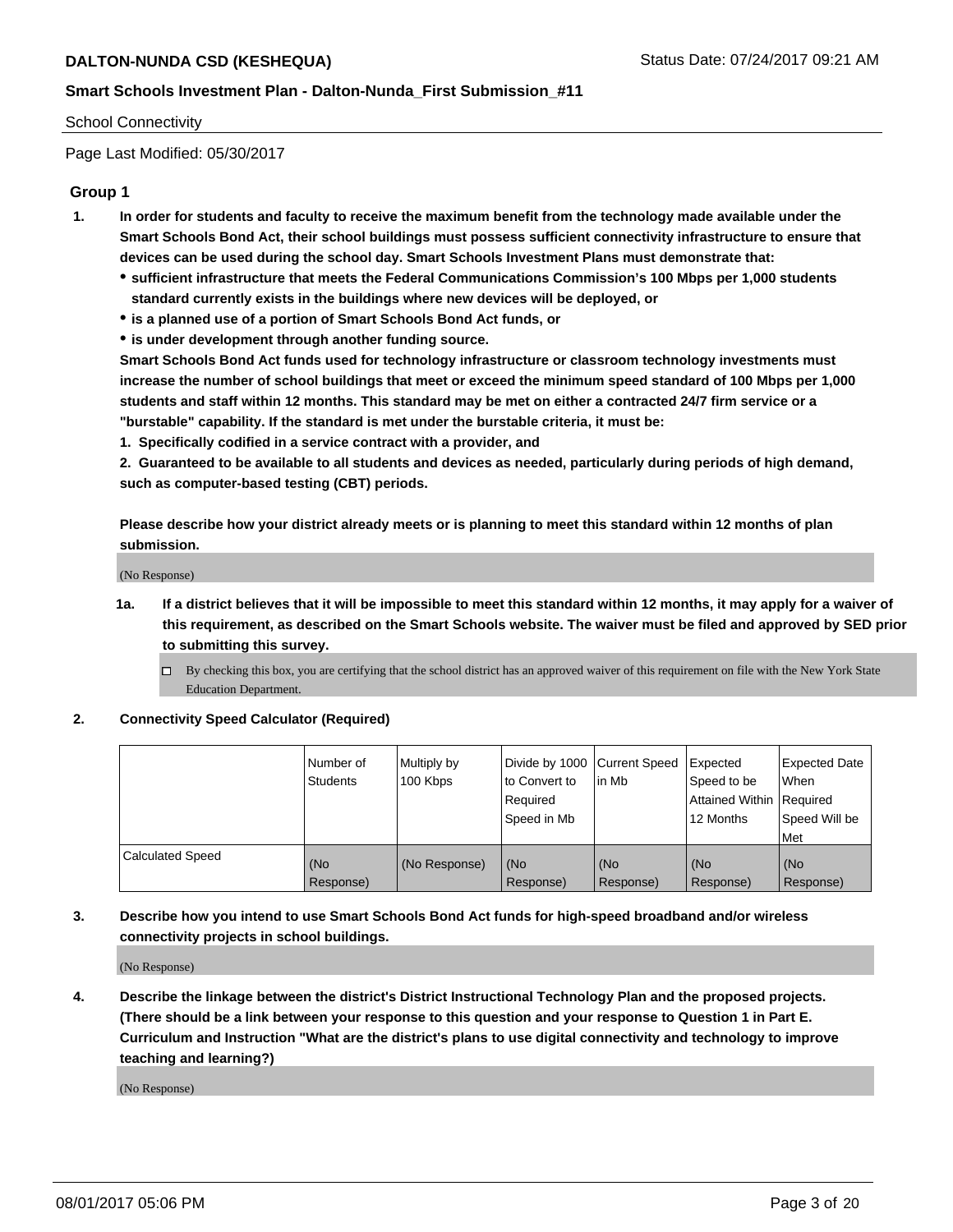#### School Connectivity

Page Last Modified: 05/30/2017

## **Group 1**

- **1. In order for students and faculty to receive the maximum benefit from the technology made available under the Smart Schools Bond Act, their school buildings must possess sufficient connectivity infrastructure to ensure that devices can be used during the school day. Smart Schools Investment Plans must demonstrate that:**
	- **sufficient infrastructure that meets the Federal Communications Commission's 100 Mbps per 1,000 students standard currently exists in the buildings where new devices will be deployed, or**
	- **is a planned use of a portion of Smart Schools Bond Act funds, or**
	- **is under development through another funding source.**

**Smart Schools Bond Act funds used for technology infrastructure or classroom technology investments must increase the number of school buildings that meet or exceed the minimum speed standard of 100 Mbps per 1,000 students and staff within 12 months. This standard may be met on either a contracted 24/7 firm service or a "burstable" capability. If the standard is met under the burstable criteria, it must be:**

**1. Specifically codified in a service contract with a provider, and**

**2. Guaranteed to be available to all students and devices as needed, particularly during periods of high demand, such as computer-based testing (CBT) periods.**

**Please describe how your district already meets or is planning to meet this standard within 12 months of plan submission.**

(No Response)

- **1a. If a district believes that it will be impossible to meet this standard within 12 months, it may apply for a waiver of this requirement, as described on the Smart Schools website. The waiver must be filed and approved by SED prior to submitting this survey.**
	- By checking this box, you are certifying that the school district has an approved waiver of this requirement on file with the New York State Education Department.

#### **2. Connectivity Speed Calculator (Required)**

|                         | l Number of<br><b>Students</b> | Multiply by<br>100 Kbps | Divide by 1000   Current Speed<br>to Convert to<br>Required<br>l Speed in Mb | in Mb            | Expected<br>Speed to be<br>Attained Within Required<br>12 Months | <b>Expected Date</b><br>When<br>Speed Will be<br><b>Met</b> |
|-------------------------|--------------------------------|-------------------------|------------------------------------------------------------------------------|------------------|------------------------------------------------------------------|-------------------------------------------------------------|
| <b>Calculated Speed</b> | (No<br>Response)               | (No Response)           | (No<br>Response)                                                             | (No<br>Response) | (No<br>Response)                                                 | l (No<br>Response)                                          |

## **3. Describe how you intend to use Smart Schools Bond Act funds for high-speed broadband and/or wireless connectivity projects in school buildings.**

(No Response)

**4. Describe the linkage between the district's District Instructional Technology Plan and the proposed projects. (There should be a link between your response to this question and your response to Question 1 in Part E. Curriculum and Instruction "What are the district's plans to use digital connectivity and technology to improve teaching and learning?)**

(No Response)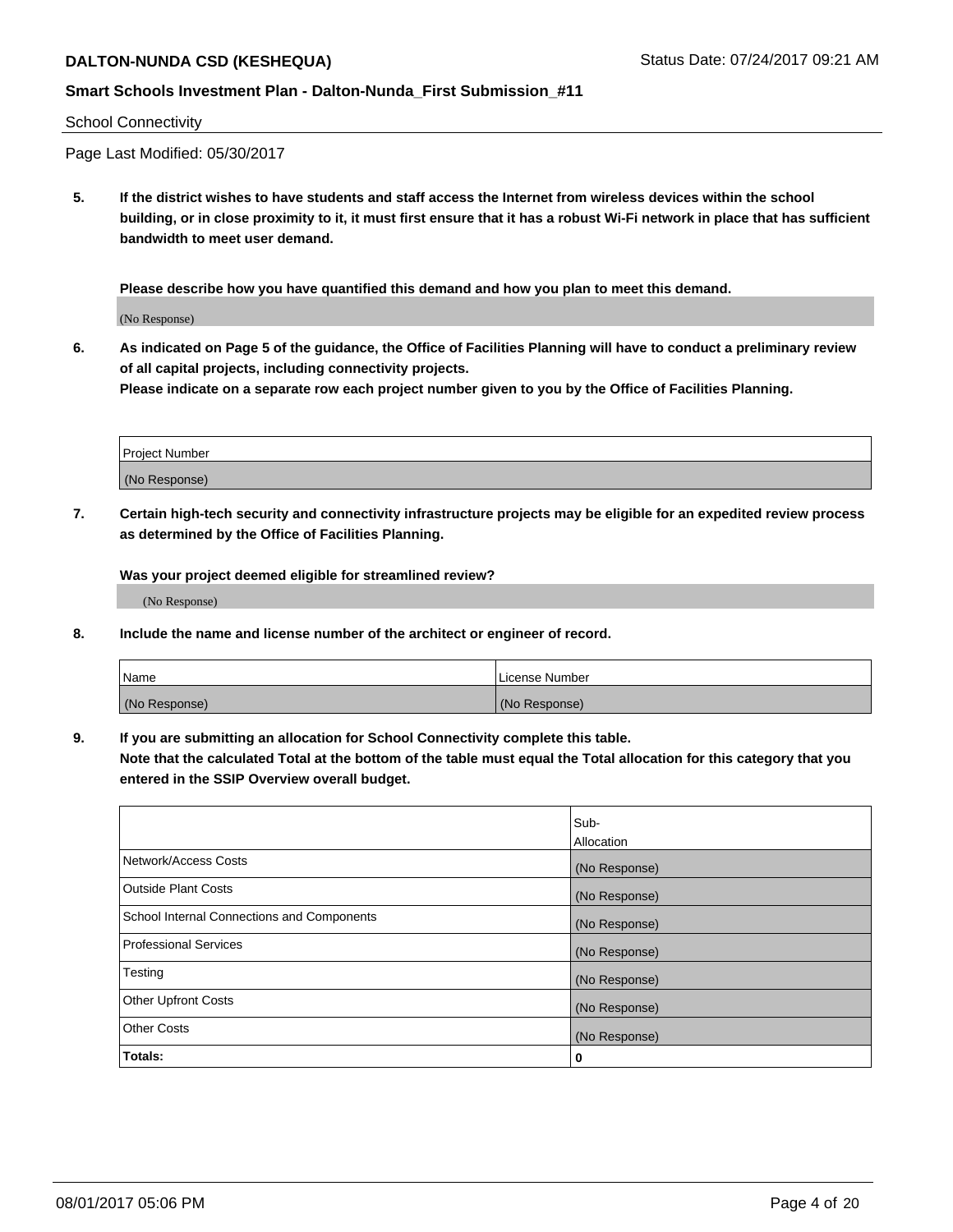## **Smart Schools Investment Plan - Dalton-Nunda\_First Submission\_#11**

#### School Connectivity

Page Last Modified: 05/30/2017

**5. If the district wishes to have students and staff access the Internet from wireless devices within the school building, or in close proximity to it, it must first ensure that it has a robust Wi-Fi network in place that has sufficient bandwidth to meet user demand.**

**Please describe how you have quantified this demand and how you plan to meet this demand.**

(No Response)

**6. As indicated on Page 5 of the guidance, the Office of Facilities Planning will have to conduct a preliminary review of all capital projects, including connectivity projects.**

**Please indicate on a separate row each project number given to you by the Office of Facilities Planning.**

| Project Number |  |
|----------------|--|
|                |  |
| (No Response)  |  |

**7. Certain high-tech security and connectivity infrastructure projects may be eligible for an expedited review process as determined by the Office of Facilities Planning.**

**Was your project deemed eligible for streamlined review?**

(No Response)

**8. Include the name and license number of the architect or engineer of record.**

| Name          | License Number |
|---------------|----------------|
| (No Response) | (No Response)  |

**9. If you are submitting an allocation for School Connectivity complete this table.**

**Note that the calculated Total at the bottom of the table must equal the Total allocation for this category that you entered in the SSIP Overview overall budget.** 

|                                            | Sub-              |
|--------------------------------------------|-------------------|
|                                            | <b>Allocation</b> |
| Network/Access Costs                       | (No Response)     |
| <b>Outside Plant Costs</b>                 | (No Response)     |
| School Internal Connections and Components | (No Response)     |
| Professional Services                      | (No Response)     |
| Testing                                    | (No Response)     |
| <b>Other Upfront Costs</b>                 | (No Response)     |
| <b>Other Costs</b>                         | (No Response)     |
| Totals:                                    | 0                 |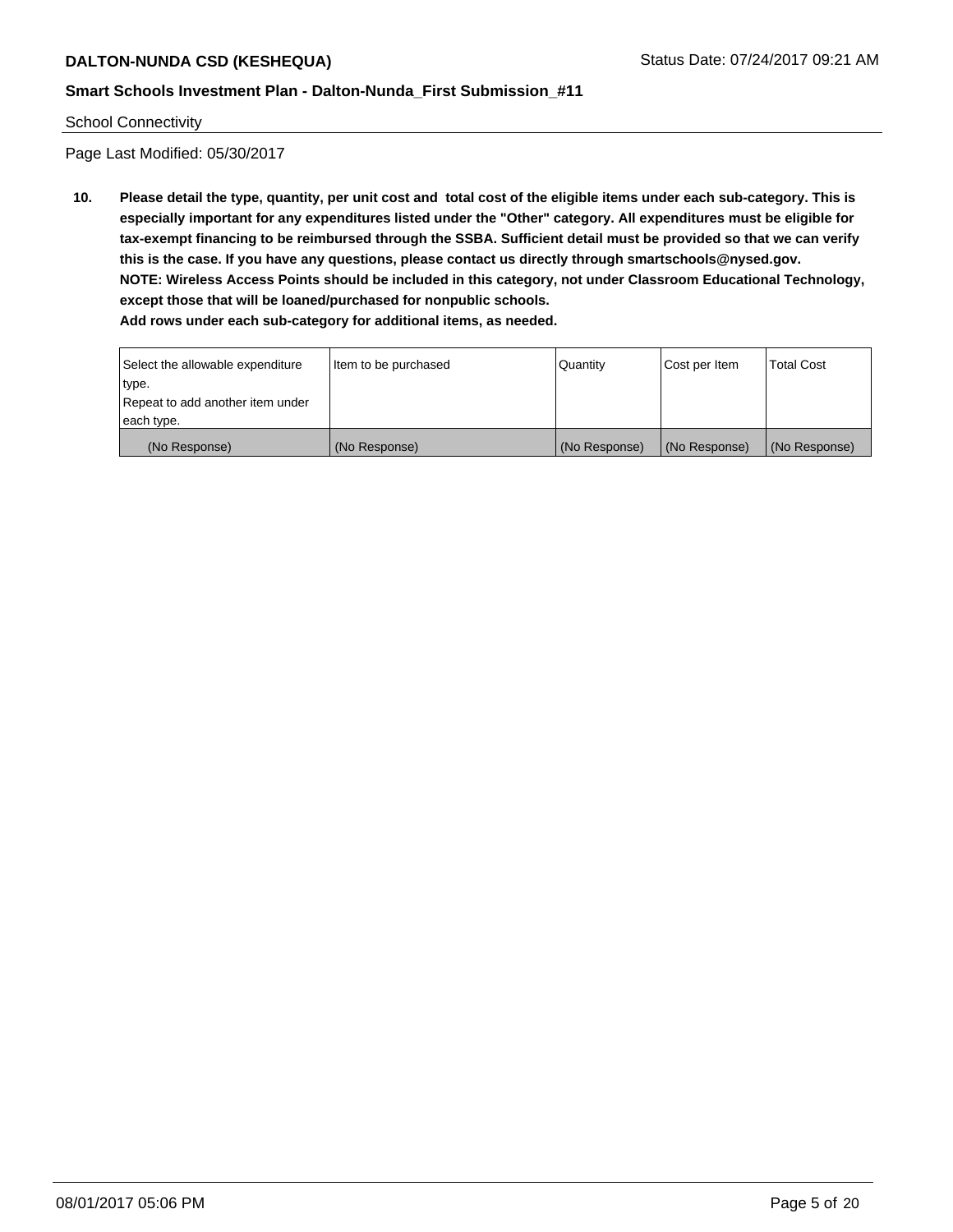School Connectivity

Page Last Modified: 05/30/2017

**10. Please detail the type, quantity, per unit cost and total cost of the eligible items under each sub-category. This is especially important for any expenditures listed under the "Other" category. All expenditures must be eligible for tax-exempt financing to be reimbursed through the SSBA. Sufficient detail must be provided so that we can verify this is the case. If you have any questions, please contact us directly through smartschools@nysed.gov. NOTE: Wireless Access Points should be included in this category, not under Classroom Educational Technology, except those that will be loaned/purchased for nonpublic schools. Add rows under each sub-category for additional items, as needed.**

| Select the allowable expenditure<br>type.      | Item to be purchased | Quantity      | Cost per Item | <b>Total Cost</b> |
|------------------------------------------------|----------------------|---------------|---------------|-------------------|
| Repeat to add another item under<br>each type. |                      |               |               |                   |
| (No Response)                                  | (No Response)        | (No Response) | (No Response) | (No Response)     |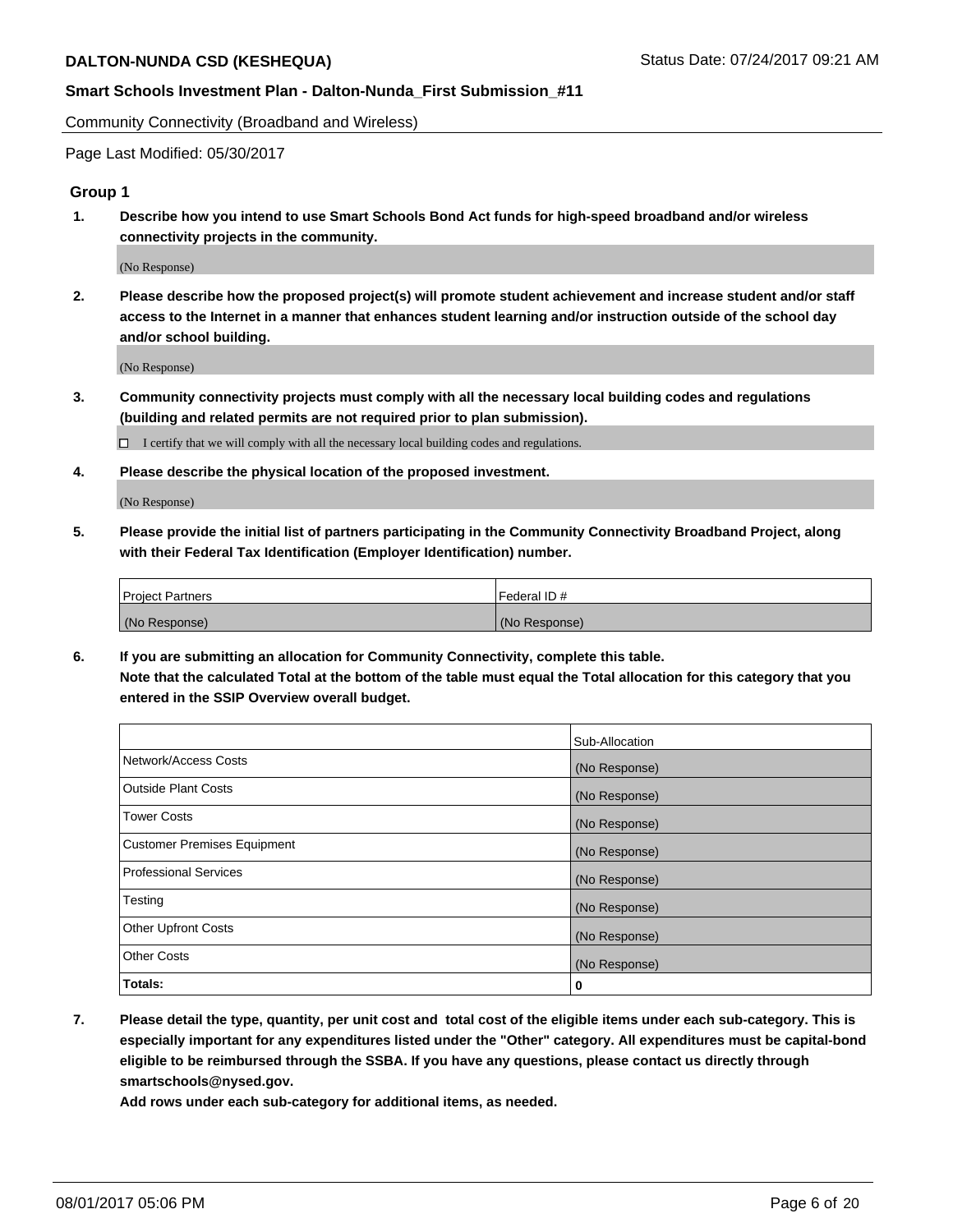Community Connectivity (Broadband and Wireless)

Page Last Modified: 05/30/2017

## **Group 1**

**1. Describe how you intend to use Smart Schools Bond Act funds for high-speed broadband and/or wireless connectivity projects in the community.**

(No Response)

**2. Please describe how the proposed project(s) will promote student achievement and increase student and/or staff access to the Internet in a manner that enhances student learning and/or instruction outside of the school day and/or school building.**

(No Response)

**3. Community connectivity projects must comply with all the necessary local building codes and regulations (building and related permits are not required prior to plan submission).**

 $\Box$  I certify that we will comply with all the necessary local building codes and regulations.

**4. Please describe the physical location of the proposed investment.**

(No Response)

**5. Please provide the initial list of partners participating in the Community Connectivity Broadband Project, along with their Federal Tax Identification (Employer Identification) number.**

| <b>Project Partners</b> | Federal ID#     |
|-------------------------|-----------------|
| (No Response)           | l (No Response) |

**6. If you are submitting an allocation for Community Connectivity, complete this table. Note that the calculated Total at the bottom of the table must equal the Total allocation for this category that you entered in the SSIP Overview overall budget.**

|                                    | Sub-Allocation |
|------------------------------------|----------------|
| Network/Access Costs               | (No Response)  |
| Outside Plant Costs                | (No Response)  |
| <b>Tower Costs</b>                 | (No Response)  |
| <b>Customer Premises Equipment</b> | (No Response)  |
| <b>Professional Services</b>       | (No Response)  |
| Testing                            | (No Response)  |
| <b>Other Upfront Costs</b>         | (No Response)  |
| <b>Other Costs</b>                 | (No Response)  |
| Totals:                            | 0              |

**7. Please detail the type, quantity, per unit cost and total cost of the eligible items under each sub-category. This is especially important for any expenditures listed under the "Other" category. All expenditures must be capital-bond eligible to be reimbursed through the SSBA. If you have any questions, please contact us directly through smartschools@nysed.gov.**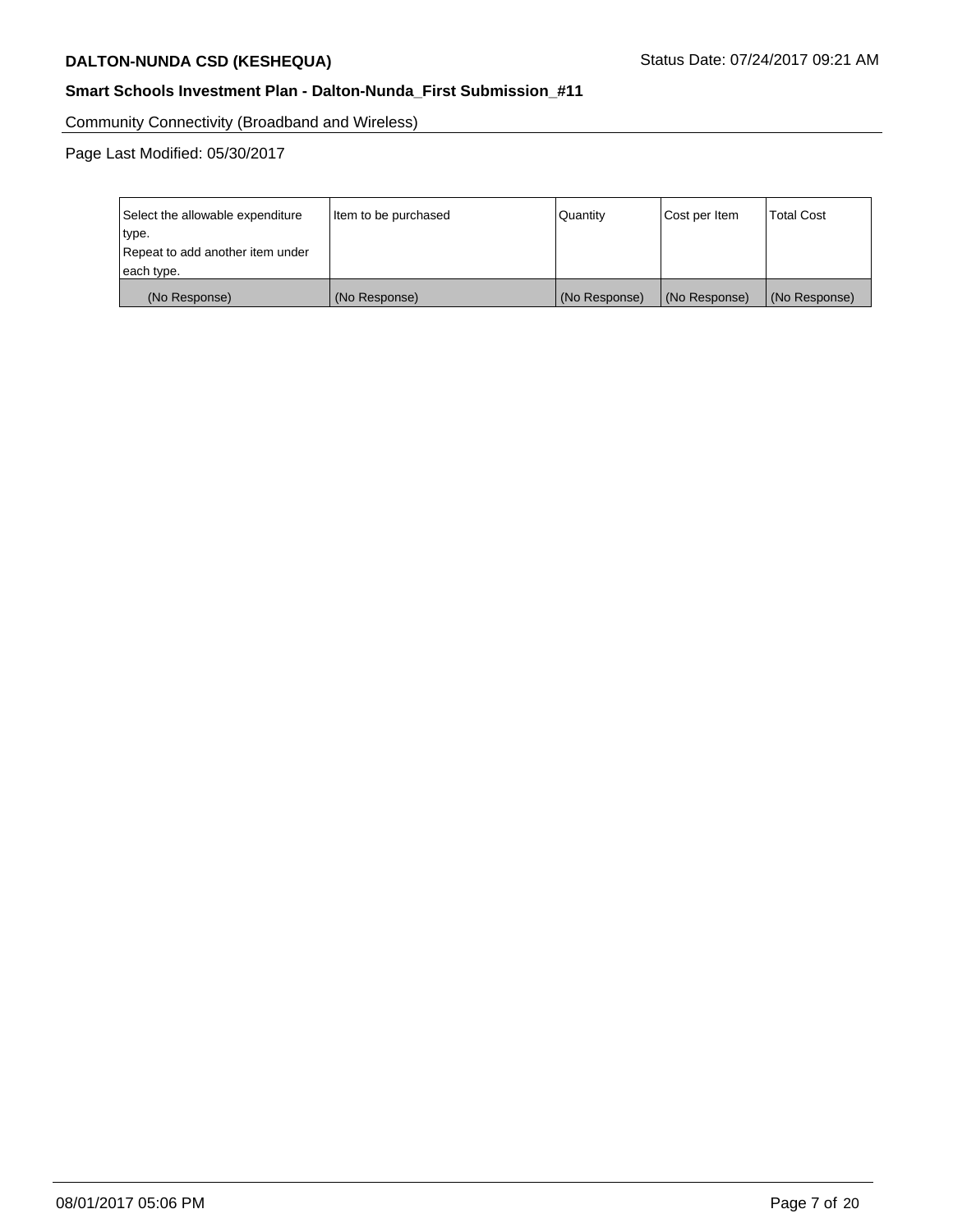## **Smart Schools Investment Plan - Dalton-Nunda\_First Submission\_#11**

Community Connectivity (Broadband and Wireless)

| Select the allowable expenditure<br>type.<br>Repeat to add another item under | Item to be purchased | Quantity      | Cost per Item | <b>Total Cost</b> |
|-------------------------------------------------------------------------------|----------------------|---------------|---------------|-------------------|
| each type.                                                                    |                      |               |               |                   |
| (No Response)                                                                 | (No Response)        | (No Response) | (No Response) | (No Response)     |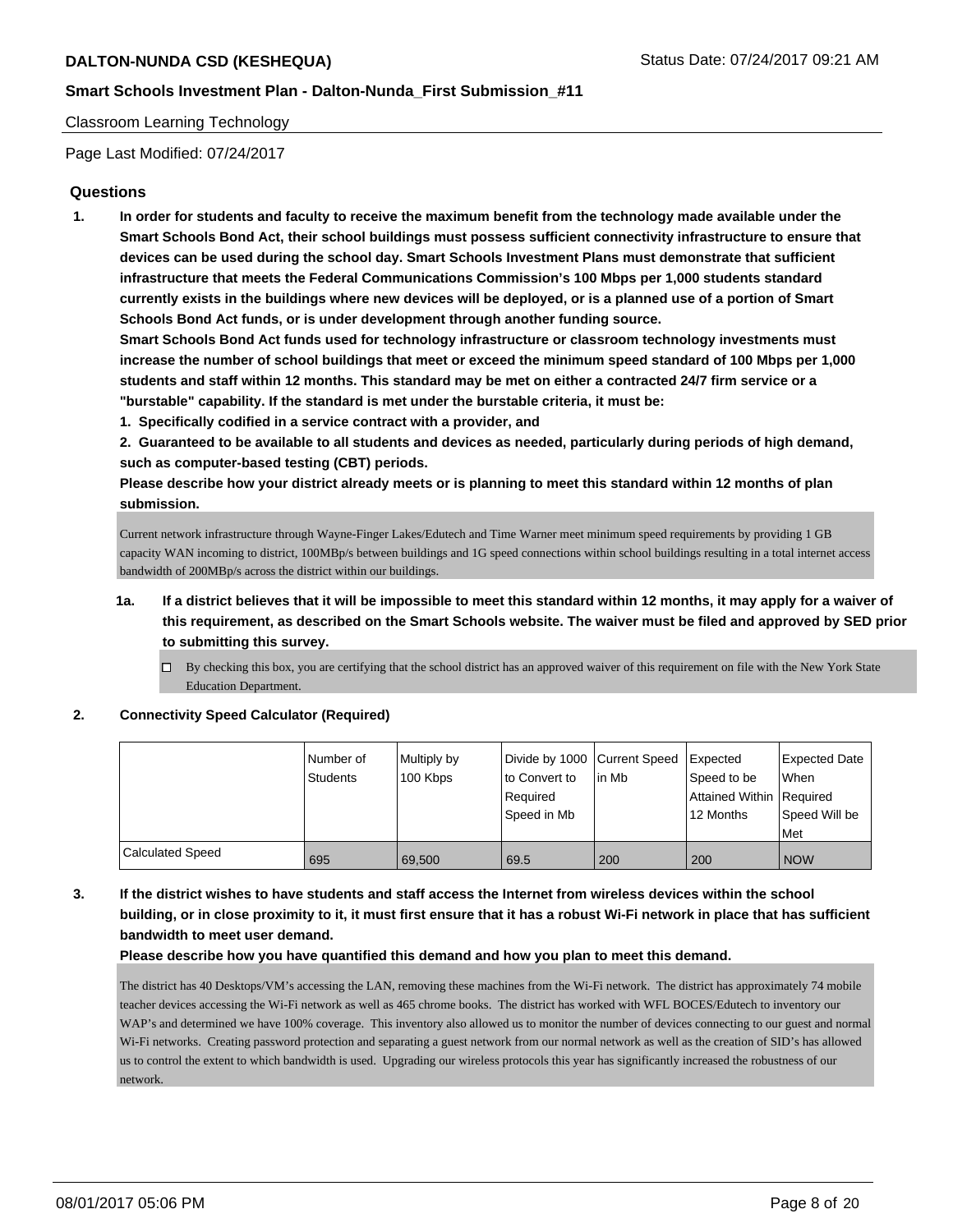#### Classroom Learning Technology

Page Last Modified: 07/24/2017

## **Questions**

**1. In order for students and faculty to receive the maximum benefit from the technology made available under the Smart Schools Bond Act, their school buildings must possess sufficient connectivity infrastructure to ensure that devices can be used during the school day. Smart Schools Investment Plans must demonstrate that sufficient infrastructure that meets the Federal Communications Commission's 100 Mbps per 1,000 students standard currently exists in the buildings where new devices will be deployed, or is a planned use of a portion of Smart Schools Bond Act funds, or is under development through another funding source.**

**Smart Schools Bond Act funds used for technology infrastructure or classroom technology investments must increase the number of school buildings that meet or exceed the minimum speed standard of 100 Mbps per 1,000 students and staff within 12 months. This standard may be met on either a contracted 24/7 firm service or a "burstable" capability. If the standard is met under the burstable criteria, it must be:**

**1. Specifically codified in a service contract with a provider, and**

**2. Guaranteed to be available to all students and devices as needed, particularly during periods of high demand, such as computer-based testing (CBT) periods.**

**Please describe how your district already meets or is planning to meet this standard within 12 months of plan submission.**

Current network infrastructure through Wayne-Finger Lakes/Edutech and Time Warner meet minimum speed requirements by providing 1 GB capacity WAN incoming to district, 100MBp/s between buildings and 1G speed connections within school buildings resulting in a total internet access bandwidth of 200MBp/s across the district within our buildings.

- **1a. If a district believes that it will be impossible to meet this standard within 12 months, it may apply for a waiver of this requirement, as described on the Smart Schools website. The waiver must be filed and approved by SED prior to submitting this survey.**
	- $\Box$  By checking this box, you are certifying that the school district has an approved waiver of this requirement on file with the New York State Education Department.

**2. Connectivity Speed Calculator (Required)**

|                  | Number of<br><b>Students</b> | Multiply by<br>100 Kbps | Divide by 1000 Current Speed<br>to Convert to | lin Mb | Expected<br>Speed to be    | Expected Date<br><b>When</b> |
|------------------|------------------------------|-------------------------|-----------------------------------------------|--------|----------------------------|------------------------------|
|                  |                              |                         | Required                                      |        | Attained Within   Required |                              |
|                  |                              |                         | Speed in Mb                                   |        | 12 Months                  | Speed Will be<br>Met         |
| Calculated Speed | 695                          | 69.500                  | 69.5                                          | 200    | 200                        | <b>NOW</b>                   |

**3. If the district wishes to have students and staff access the Internet from wireless devices within the school building, or in close proximity to it, it must first ensure that it has a robust Wi-Fi network in place that has sufficient bandwidth to meet user demand.**

**Please describe how you have quantified this demand and how you plan to meet this demand.**

The district has 40 Desktops/VM's accessing the LAN, removing these machines from the Wi-Fi network. The district has approximately 74 mobile teacher devices accessing the Wi-Fi network as well as 465 chrome books. The district has worked with WFL BOCES/Edutech to inventory our WAP's and determined we have 100% coverage. This inventory also allowed us to monitor the number of devices connecting to our guest and normal Wi-Fi networks. Creating password protection and separating a guest network from our normal network as well as the creation of SID's has allowed us to control the extent to which bandwidth is used. Upgrading our wireless protocols this year has significantly increased the robustness of our network.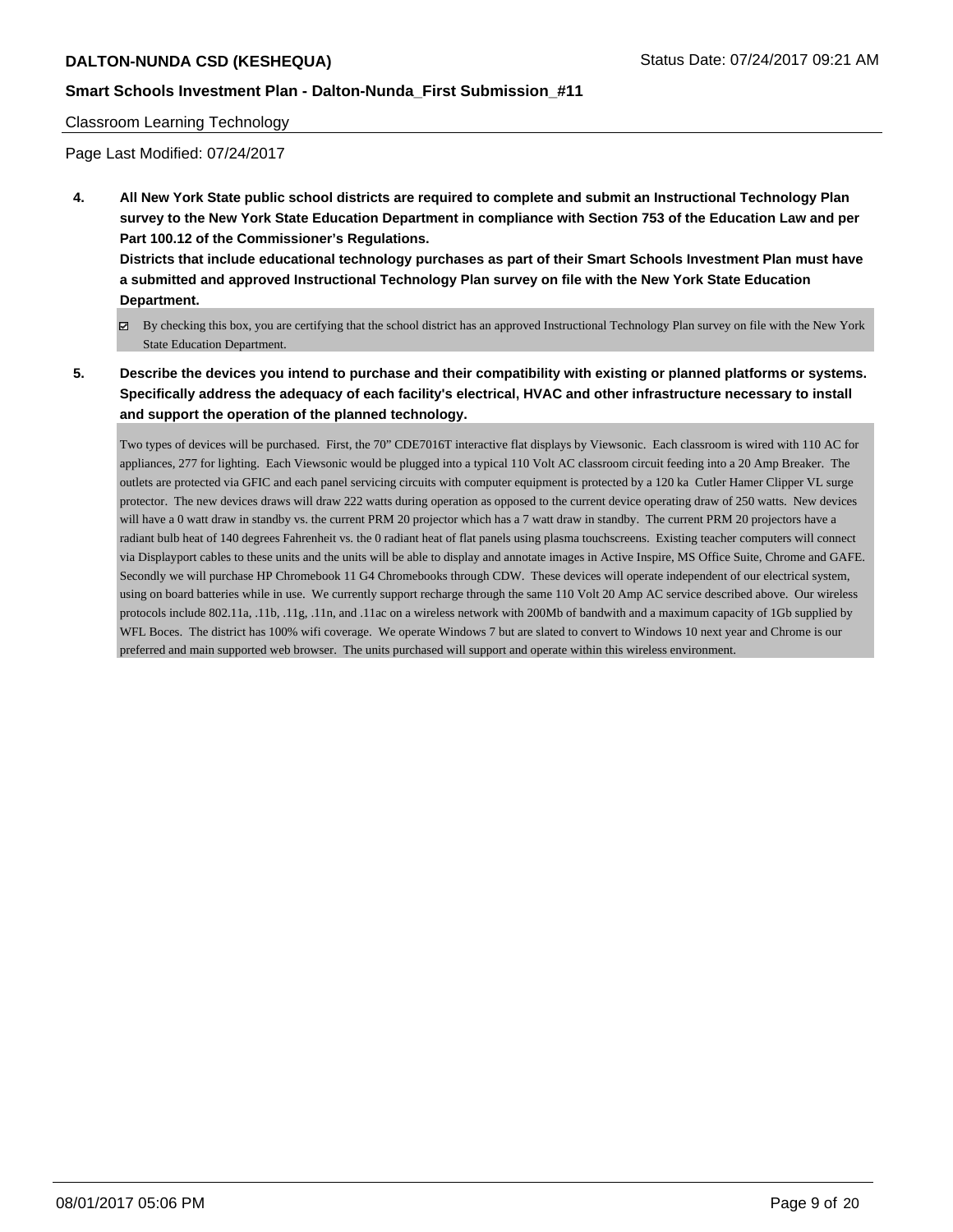## **Smart Schools Investment Plan - Dalton-Nunda\_First Submission\_#11**

#### Classroom Learning Technology

Page Last Modified: 07/24/2017

**4. All New York State public school districts are required to complete and submit an Instructional Technology Plan survey to the New York State Education Department in compliance with Section 753 of the Education Law and per Part 100.12 of the Commissioner's Regulations.**

**Districts that include educational technology purchases as part of their Smart Schools Investment Plan must have a submitted and approved Instructional Technology Plan survey on file with the New York State Education Department.**

- By checking this box, you are certifying that the school district has an approved Instructional Technology Plan survey on file with the New York State Education Department.
- **5. Describe the devices you intend to purchase and their compatibility with existing or planned platforms or systems. Specifically address the adequacy of each facility's electrical, HVAC and other infrastructure necessary to install and support the operation of the planned technology.**

Two types of devices will be purchased. First, the 70" CDE7016T interactive flat displays by Viewsonic. Each classroom is wired with 110 AC for appliances, 277 for lighting. Each Viewsonic would be plugged into a typical 110 Volt AC classroom circuit feeding into a 20 Amp Breaker. The outlets are protected via GFIC and each panel servicing circuits with computer equipment is protected by a 120 ka Cutler Hamer Clipper VL surge protector. The new devices draws will draw 222 watts during operation as opposed to the current device operating draw of 250 watts. New devices will have a 0 watt draw in standby vs. the current PRM 20 projector which has a 7 watt draw in standby. The current PRM 20 projectors have a radiant bulb heat of 140 degrees Fahrenheit vs. the 0 radiant heat of flat panels using plasma touchscreens. Existing teacher computers will connect via Displayport cables to these units and the units will be able to display and annotate images in Active Inspire, MS Office Suite, Chrome and GAFE. Secondly we will purchase HP Chromebook 11 G4 Chromebooks through CDW. These devices will operate independent of our electrical system, using on board batteries while in use. We currently support recharge through the same 110 Volt 20 Amp AC service described above. Our wireless protocols include 802.11a, .11b, .11g, .11n, and .11ac on a wireless network with 200Mb of bandwith and a maximum capacity of 1Gb supplied by WFL Boces. The district has 100% wifi coverage. We operate Windows 7 but are slated to convert to Windows 10 next year and Chrome is our preferred and main supported web browser. The units purchased will support and operate within this wireless environment.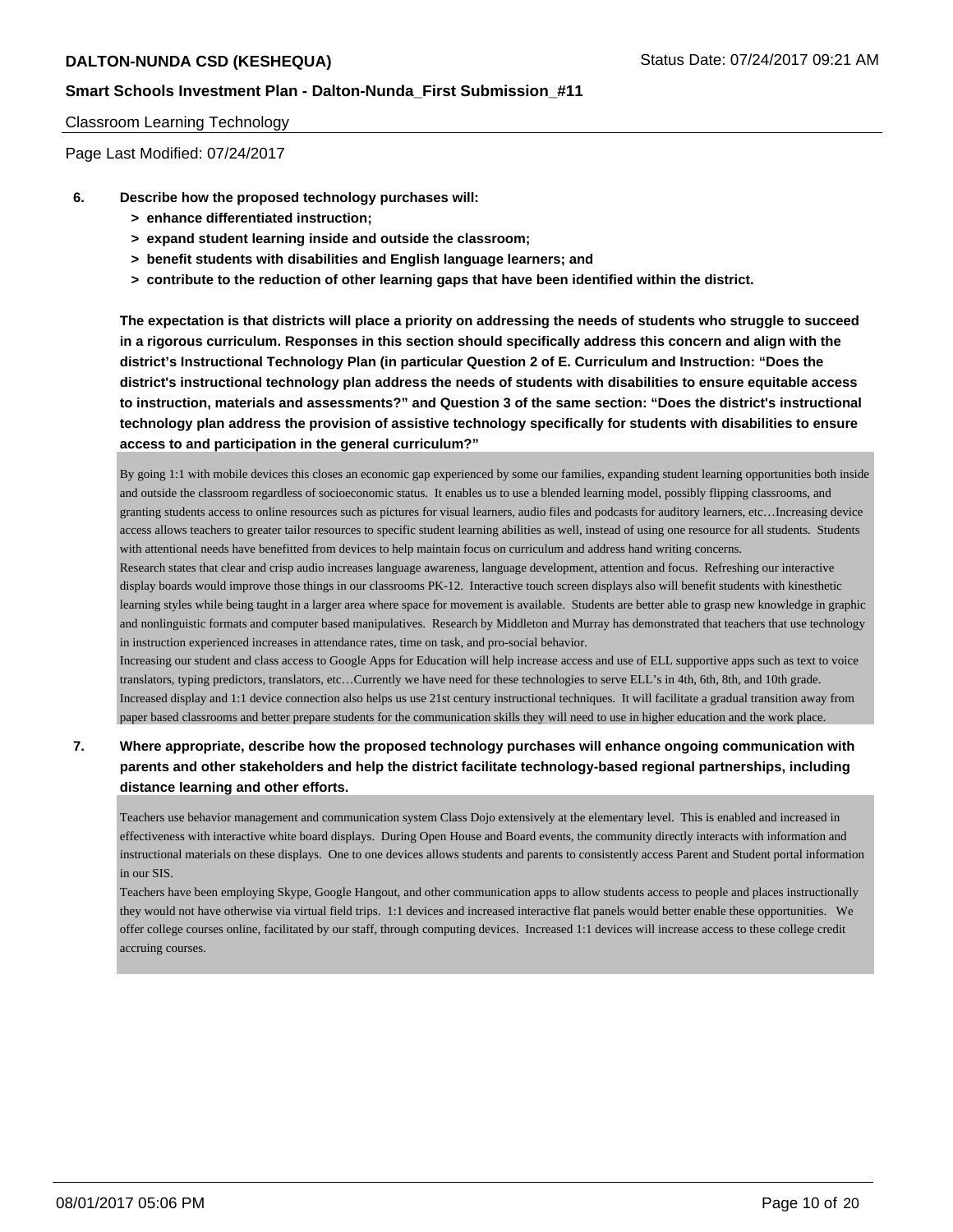#### Classroom Learning Technology

Page Last Modified: 07/24/2017

- **6. Describe how the proposed technology purchases will:**
	- **> enhance differentiated instruction;**
	- **> expand student learning inside and outside the classroom;**
	- **> benefit students with disabilities and English language learners; and**
	- **> contribute to the reduction of other learning gaps that have been identified within the district.**

**The expectation is that districts will place a priority on addressing the needs of students who struggle to succeed in a rigorous curriculum. Responses in this section should specifically address this concern and align with the district's Instructional Technology Plan (in particular Question 2 of E. Curriculum and Instruction: "Does the district's instructional technology plan address the needs of students with disabilities to ensure equitable access to instruction, materials and assessments?" and Question 3 of the same section: "Does the district's instructional technology plan address the provision of assistive technology specifically for students with disabilities to ensure access to and participation in the general curriculum?"**

By going 1:1 with mobile devices this closes an economic gap experienced by some our families, expanding student learning opportunities both inside and outside the classroom regardless of socioeconomic status. It enables us to use a blended learning model, possibly flipping classrooms, and granting students access to online resources such as pictures for visual learners, audio files and podcasts for auditory learners, etc…Increasing device access allows teachers to greater tailor resources to specific student learning abilities as well, instead of using one resource for all students. Students with attentional needs have benefitted from devices to help maintain focus on curriculum and address hand writing concerns.

Research states that clear and crisp audio increases language awareness, language development, attention and focus. Refreshing our interactive display boards would improve those things in our classrooms PK-12. Interactive touch screen displays also will benefit students with kinesthetic learning styles while being taught in a larger area where space for movement is available. Students are better able to grasp new knowledge in graphic and nonlinguistic formats and computer based manipulatives. Research by Middleton and Murray has demonstrated that teachers that use technology in instruction experienced increases in attendance rates, time on task, and pro-social behavior.

Increasing our student and class access to Google Apps for Education will help increase access and use of ELL supportive apps such as text to voice translators, typing predictors, translators, etc…Currently we have need for these technologies to serve ELL's in 4th, 6th, 8th, and 10th grade. Increased display and 1:1 device connection also helps us use 21st century instructional techniques. It will facilitate a gradual transition away from paper based classrooms and better prepare students for the communication skills they will need to use in higher education and the work place.

**7. Where appropriate, describe how the proposed technology purchases will enhance ongoing communication with parents and other stakeholders and help the district facilitate technology-based regional partnerships, including distance learning and other efforts.**

Teachers use behavior management and communication system Class Dojo extensively at the elementary level. This is enabled and increased in effectiveness with interactive white board displays. During Open House and Board events, the community directly interacts with information and instructional materials on these displays. One to one devices allows students and parents to consistently access Parent and Student portal information in our SIS.

Teachers have been employing Skype, Google Hangout, and other communication apps to allow students access to people and places instructionally they would not have otherwise via virtual field trips. 1:1 devices and increased interactive flat panels would better enable these opportunities. We offer college courses online, facilitated by our staff, through computing devices. Increased 1:1 devices will increase access to these college credit accruing courses.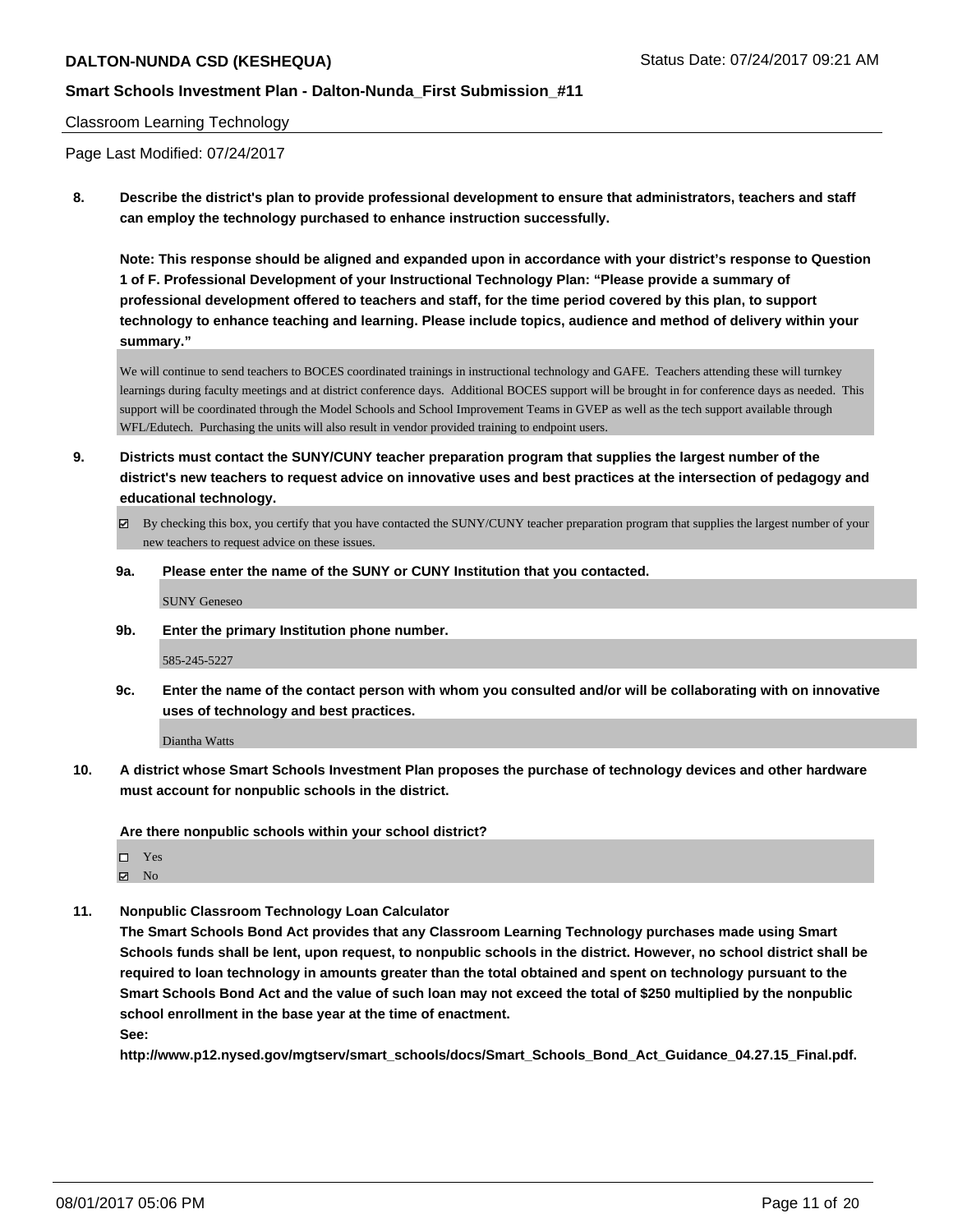#### Classroom Learning Technology

Page Last Modified: 07/24/2017

**8. Describe the district's plan to provide professional development to ensure that administrators, teachers and staff can employ the technology purchased to enhance instruction successfully.**

**Note: This response should be aligned and expanded upon in accordance with your district's response to Question 1 of F. Professional Development of your Instructional Technology Plan: "Please provide a summary of professional development offered to teachers and staff, for the time period covered by this plan, to support technology to enhance teaching and learning. Please include topics, audience and method of delivery within your summary."**

We will continue to send teachers to BOCES coordinated trainings in instructional technology and GAFE. Teachers attending these will turnkey learnings during faculty meetings and at district conference days. Additional BOCES support will be brought in for conference days as needed. This support will be coordinated through the Model Schools and School Improvement Teams in GVEP as well as the tech support available through WFL/Edutech. Purchasing the units will also result in vendor provided training to endpoint users.

- **9. Districts must contact the SUNY/CUNY teacher preparation program that supplies the largest number of the district's new teachers to request advice on innovative uses and best practices at the intersection of pedagogy and educational technology.**
	- $\boxtimes$  By checking this box, you certify that you have contacted the SUNY/CUNY teacher preparation program that supplies the largest number of your new teachers to request advice on these issues.
	- **9a. Please enter the name of the SUNY or CUNY Institution that you contacted.**

SUNY Geneseo

**9b. Enter the primary Institution phone number.**

585-245-5227

**9c. Enter the name of the contact person with whom you consulted and/or will be collaborating with on innovative uses of technology and best practices.**

Diantha Watts

**10. A district whose Smart Schools Investment Plan proposes the purchase of technology devices and other hardware must account for nonpublic schools in the district.**

**Are there nonpublic schools within your school district?**

Yes  $\boxtimes$  No

**11. Nonpublic Classroom Technology Loan Calculator**

**The Smart Schools Bond Act provides that any Classroom Learning Technology purchases made using Smart Schools funds shall be lent, upon request, to nonpublic schools in the district. However, no school district shall be required to loan technology in amounts greater than the total obtained and spent on technology pursuant to the Smart Schools Bond Act and the value of such loan may not exceed the total of \$250 multiplied by the nonpublic school enrollment in the base year at the time of enactment.**

**See:**

**http://www.p12.nysed.gov/mgtserv/smart\_schools/docs/Smart\_Schools\_Bond\_Act\_Guidance\_04.27.15\_Final.pdf.**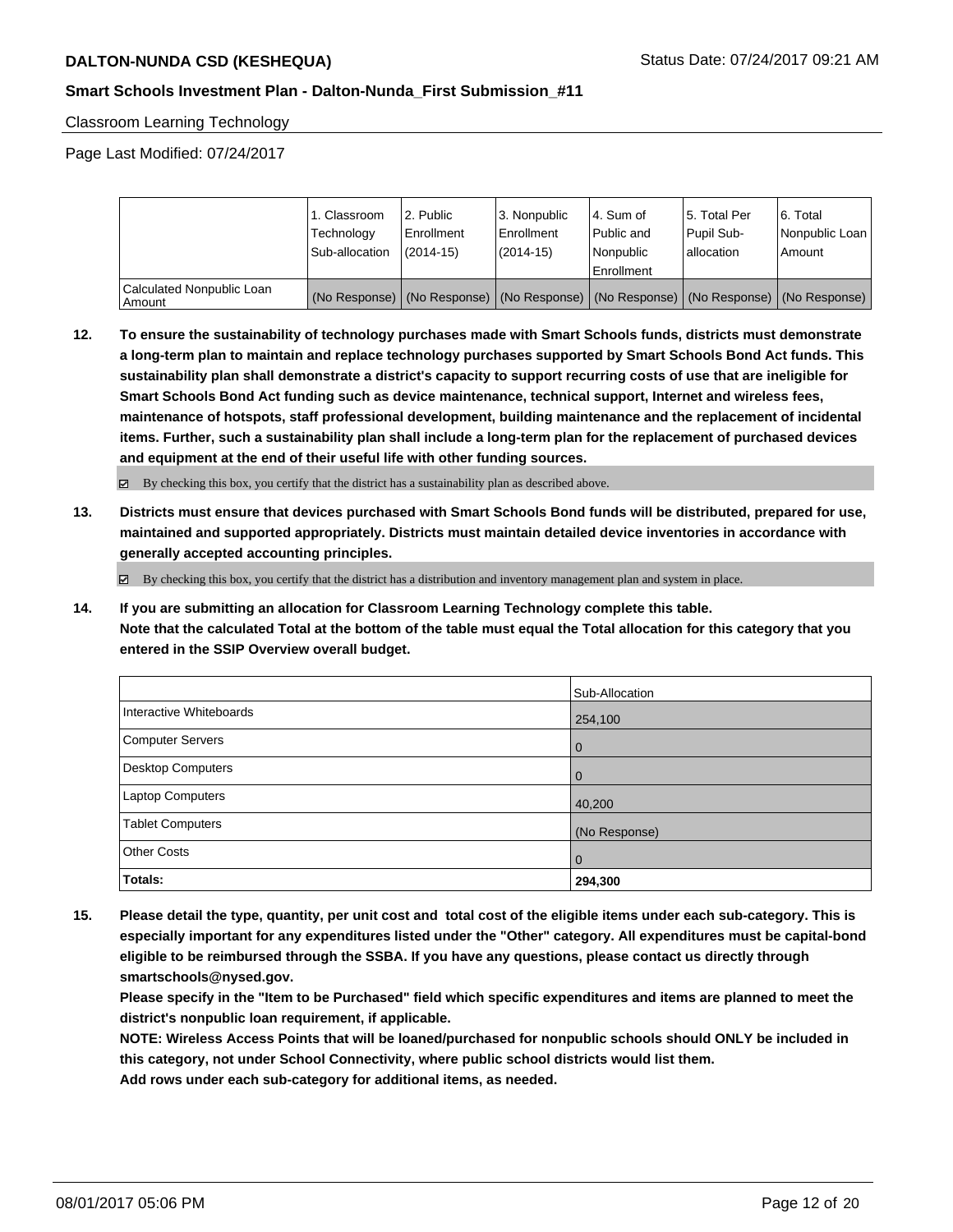Classroom Learning Technology

Page Last Modified: 07/24/2017

|                                       | 1. Classroom<br>Technology<br>Sub-allocation | 2. Public<br>l Enrollment<br>$(2014 - 15)$ | l 3. Nonpublic<br>l Enrollment<br>$(2014 - 15)$ | l 4. Sum of<br>Public and<br>l Nonpublic<br>Enrollment | 15. Total Per<br>Pupil Sub-<br>allocation | l 6. Total<br>Nonpublic Loan<br>l Amount                                                      |
|---------------------------------------|----------------------------------------------|--------------------------------------------|-------------------------------------------------|--------------------------------------------------------|-------------------------------------------|-----------------------------------------------------------------------------------------------|
| Calculated Nonpublic Loan<br>l Amount |                                              |                                            |                                                 |                                                        |                                           | (No Response)   (No Response)   (No Response)   (No Response)   (No Response)   (No Response) |

**12. To ensure the sustainability of technology purchases made with Smart Schools funds, districts must demonstrate a long-term plan to maintain and replace technology purchases supported by Smart Schools Bond Act funds. This sustainability plan shall demonstrate a district's capacity to support recurring costs of use that are ineligible for Smart Schools Bond Act funding such as device maintenance, technical support, Internet and wireless fees, maintenance of hotspots, staff professional development, building maintenance and the replacement of incidental items. Further, such a sustainability plan shall include a long-term plan for the replacement of purchased devices and equipment at the end of their useful life with other funding sources.**

 $\boxtimes$  By checking this box, you certify that the district has a sustainability plan as described above.

**13. Districts must ensure that devices purchased with Smart Schools Bond funds will be distributed, prepared for use, maintained and supported appropriately. Districts must maintain detailed device inventories in accordance with generally accepted accounting principles.**

 $\boxtimes$  By checking this box, you certify that the district has a distribution and inventory management plan and system in place.

**14. If you are submitting an allocation for Classroom Learning Technology complete this table. Note that the calculated Total at the bottom of the table must equal the Total allocation for this category that you entered in the SSIP Overview overall budget.**

|                         | Sub-Allocation |
|-------------------------|----------------|
| Interactive Whiteboards | 254,100        |
| Computer Servers        | $\overline{0}$ |
| Desktop Computers       | $\overline{0}$ |
| Laptop Computers        | 40,200         |
| <b>Tablet Computers</b> | (No Response)  |
| <b>Other Costs</b>      | $\overline{0}$ |
| Totals:                 | 294,300        |

**15. Please detail the type, quantity, per unit cost and total cost of the eligible items under each sub-category. This is especially important for any expenditures listed under the "Other" category. All expenditures must be capital-bond eligible to be reimbursed through the SSBA. If you have any questions, please contact us directly through smartschools@nysed.gov.**

**Please specify in the "Item to be Purchased" field which specific expenditures and items are planned to meet the district's nonpublic loan requirement, if applicable.**

**NOTE: Wireless Access Points that will be loaned/purchased for nonpublic schools should ONLY be included in this category, not under School Connectivity, where public school districts would list them.**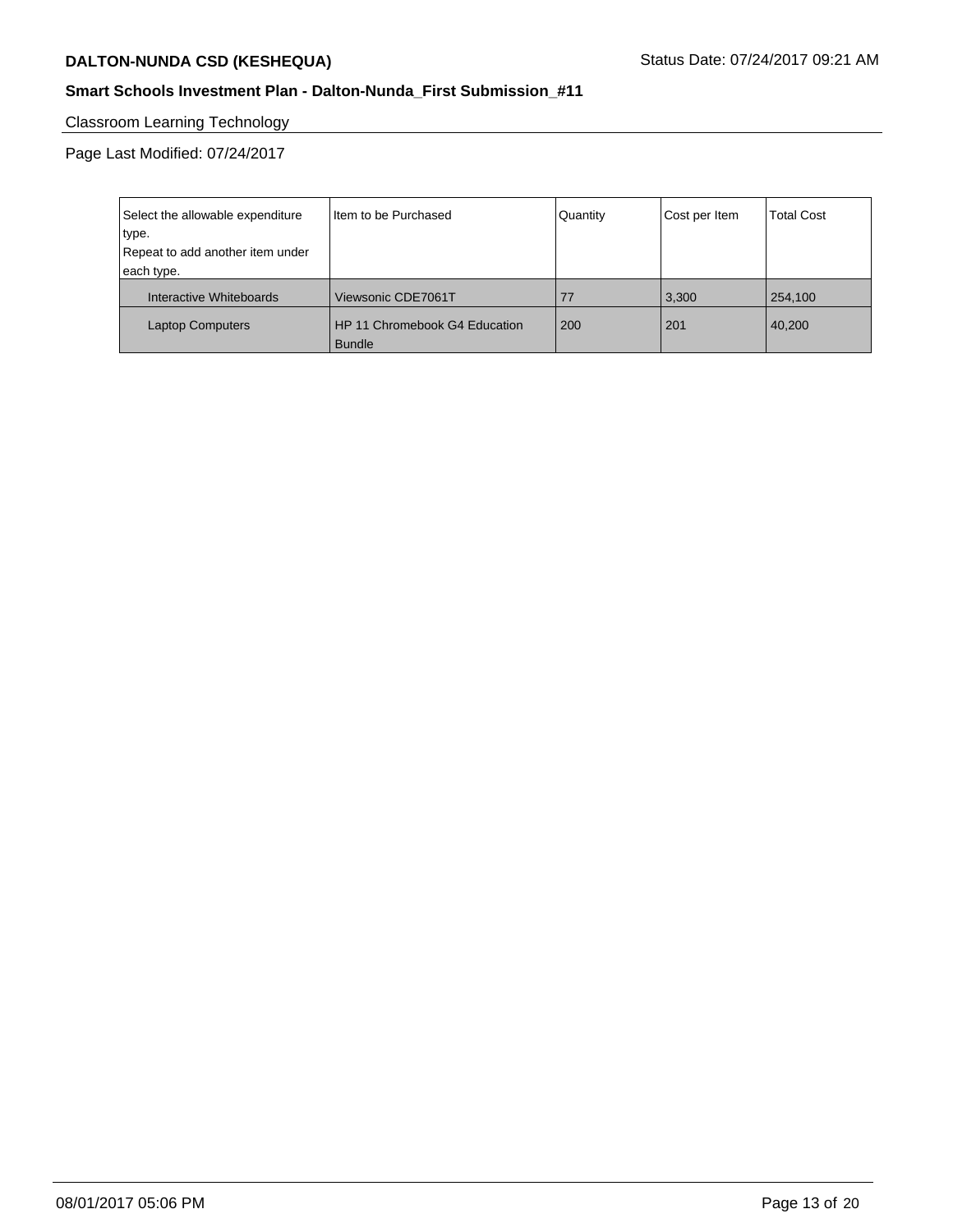## **Smart Schools Investment Plan - Dalton-Nunda\_First Submission\_#11**

# Classroom Learning Technology

Page Last Modified: 07/24/2017

| Select the allowable expenditure | Item to be Purchased                           | Quantity | Cost per Item | <b>Total Cost</b> |
|----------------------------------|------------------------------------------------|----------|---------------|-------------------|
| type.                            |                                                |          |               |                   |
| Repeat to add another item under |                                                |          |               |                   |
| each type.                       |                                                |          |               |                   |
| Interactive Whiteboards          | Viewsonic CDE7061T                             | 77       | 3,300         | 254,100           |
| <b>Laptop Computers</b>          | HP 11 Chromebook G4 Education<br><b>Bundle</b> | 200      | 201           | 40,200            |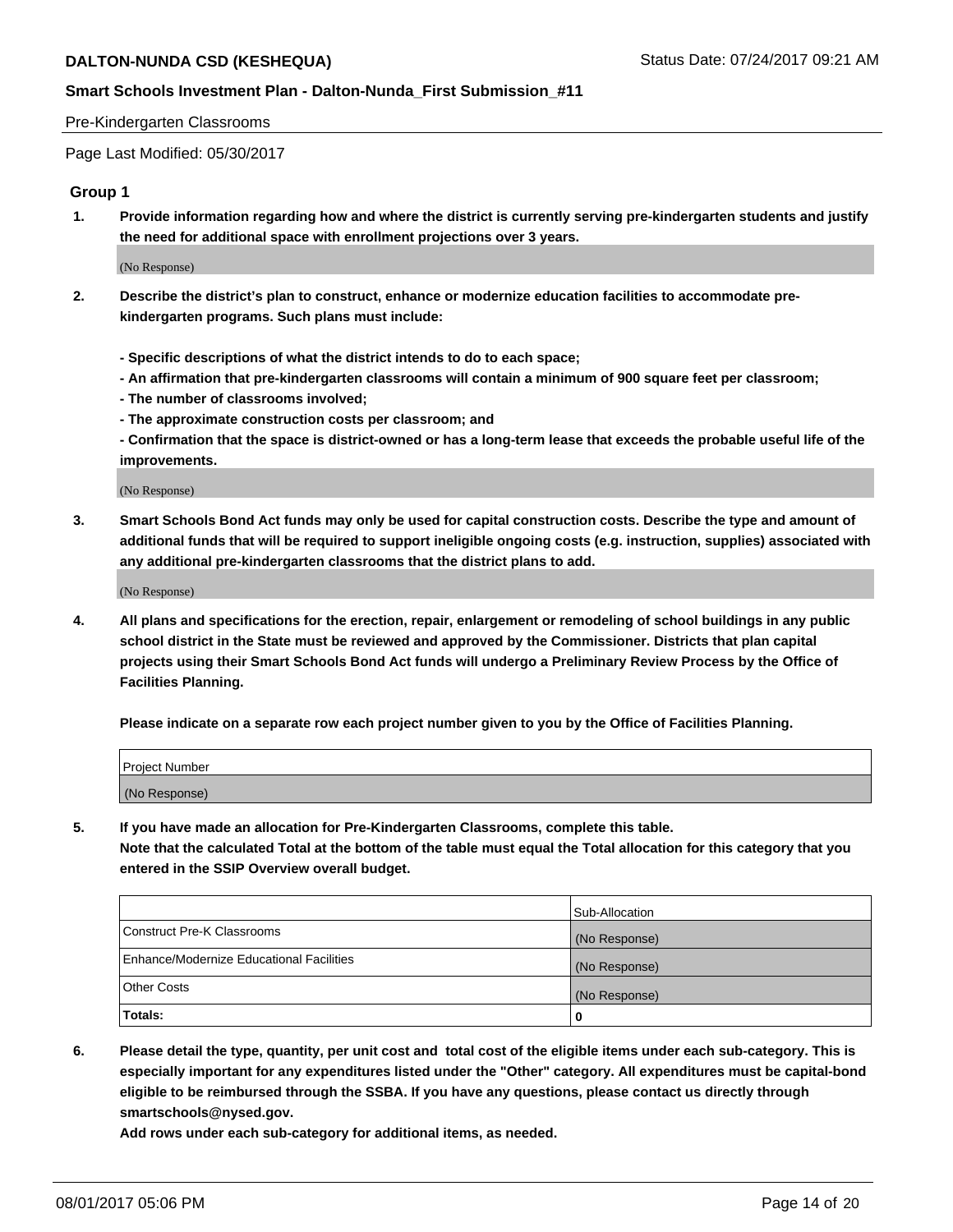#### Pre-Kindergarten Classrooms

Page Last Modified: 05/30/2017

#### **Group 1**

**1. Provide information regarding how and where the district is currently serving pre-kindergarten students and justify the need for additional space with enrollment projections over 3 years.**

(No Response)

- **2. Describe the district's plan to construct, enhance or modernize education facilities to accommodate prekindergarten programs. Such plans must include:**
	- **Specific descriptions of what the district intends to do to each space;**
	- **An affirmation that pre-kindergarten classrooms will contain a minimum of 900 square feet per classroom;**
	- **The number of classrooms involved;**
	- **The approximate construction costs per classroom; and**
	- **Confirmation that the space is district-owned or has a long-term lease that exceeds the probable useful life of the improvements.**

(No Response)

**3. Smart Schools Bond Act funds may only be used for capital construction costs. Describe the type and amount of additional funds that will be required to support ineligible ongoing costs (e.g. instruction, supplies) associated with any additional pre-kindergarten classrooms that the district plans to add.**

(No Response)

**4. All plans and specifications for the erection, repair, enlargement or remodeling of school buildings in any public school district in the State must be reviewed and approved by the Commissioner. Districts that plan capital projects using their Smart Schools Bond Act funds will undergo a Preliminary Review Process by the Office of Facilities Planning.**

**Please indicate on a separate row each project number given to you by the Office of Facilities Planning.**

| Project Number |  |
|----------------|--|
| (No Response)  |  |

**5. If you have made an allocation for Pre-Kindergarten Classrooms, complete this table. Note that the calculated Total at the bottom of the table must equal the Total allocation for this category that you entered in the SSIP Overview overall budget.**

|                                                 | Sub-Allocation |
|-------------------------------------------------|----------------|
| Construct Pre-K Classrooms                      | (No Response)  |
| <b>Enhance/Modernize Educational Facilities</b> | (No Response)  |
| Other Costs                                     | (No Response)  |
| Totals:                                         | 0              |

**6. Please detail the type, quantity, per unit cost and total cost of the eligible items under each sub-category. This is especially important for any expenditures listed under the "Other" category. All expenditures must be capital-bond eligible to be reimbursed through the SSBA. If you have any questions, please contact us directly through smartschools@nysed.gov.**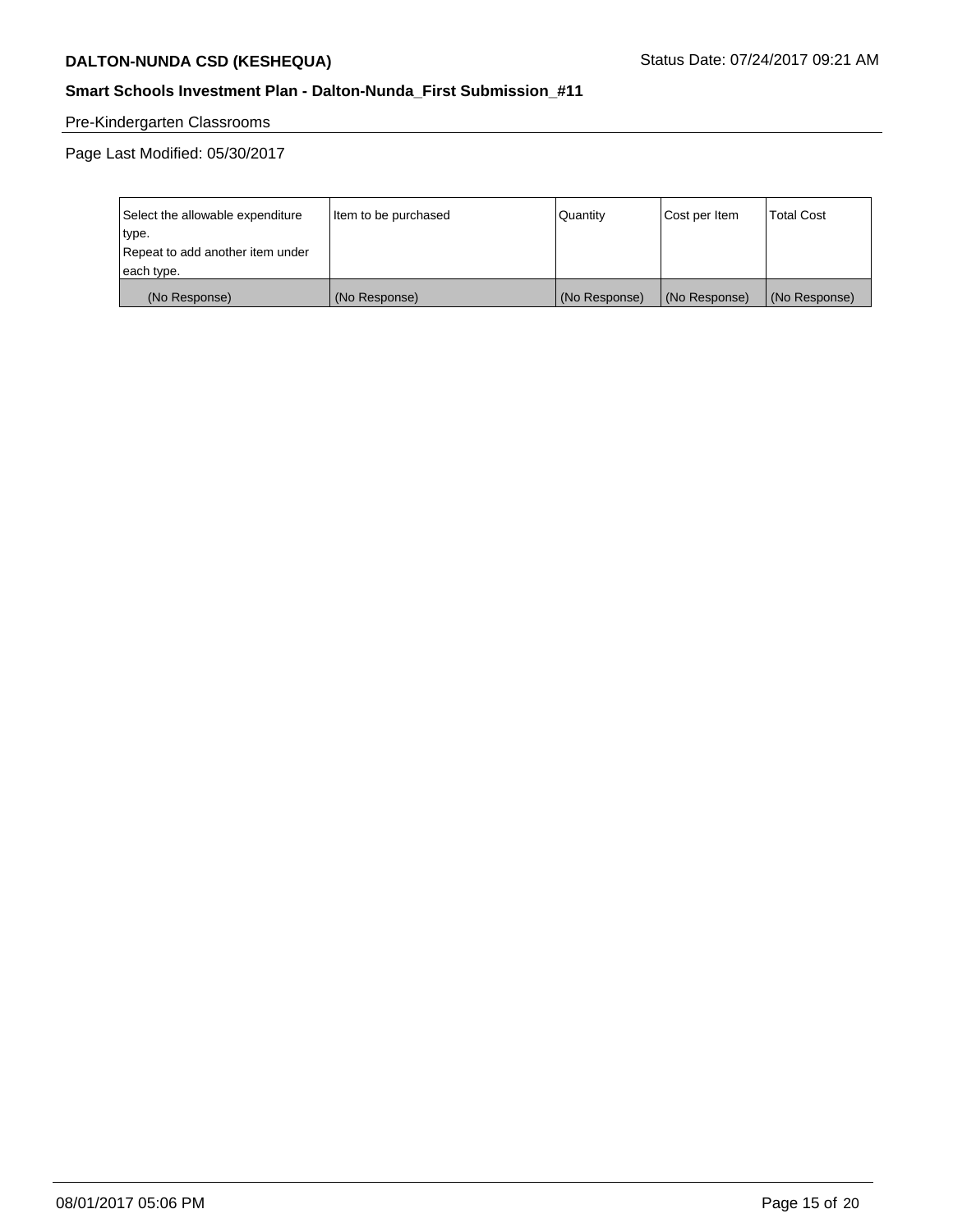## **Smart Schools Investment Plan - Dalton-Nunda\_First Submission\_#11**

## Pre-Kindergarten Classrooms

| Select the allowable expenditure | Item to be purchased | Quantity      | Cost per Item | <b>Total Cost</b> |
|----------------------------------|----------------------|---------------|---------------|-------------------|
| type.                            |                      |               |               |                   |
| Repeat to add another item under |                      |               |               |                   |
| each type.                       |                      |               |               |                   |
| (No Response)                    | (No Response)        | (No Response) | (No Response) | (No Response)     |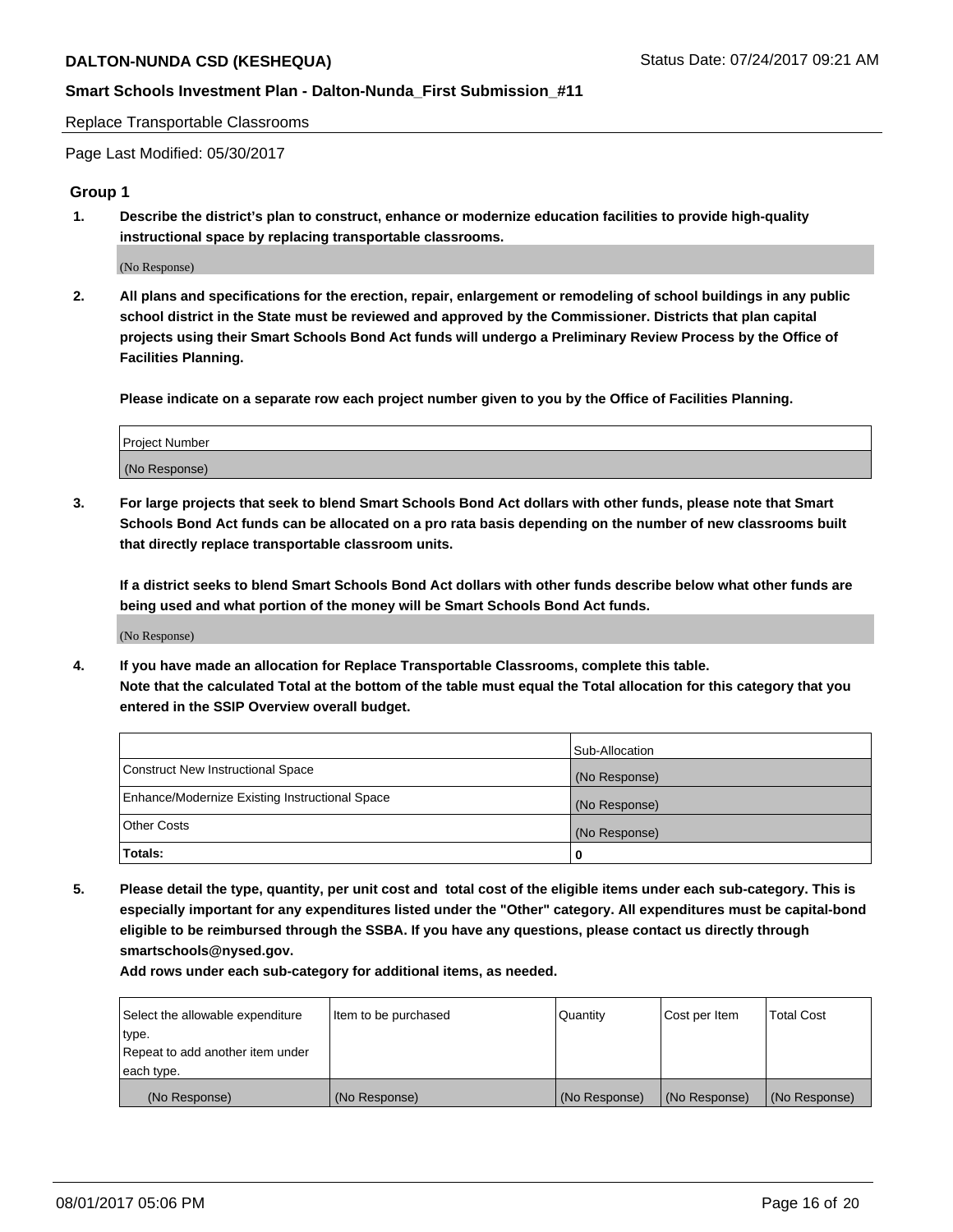Replace Transportable Classrooms

Page Last Modified: 05/30/2017

#### **Group 1**

**1. Describe the district's plan to construct, enhance or modernize education facilities to provide high-quality instructional space by replacing transportable classrooms.**

(No Response)

**2. All plans and specifications for the erection, repair, enlargement or remodeling of school buildings in any public school district in the State must be reviewed and approved by the Commissioner. Districts that plan capital projects using their Smart Schools Bond Act funds will undergo a Preliminary Review Process by the Office of Facilities Planning.**

**Please indicate on a separate row each project number given to you by the Office of Facilities Planning.**

| Project Number |  |
|----------------|--|
| (No Response)  |  |

**3. For large projects that seek to blend Smart Schools Bond Act dollars with other funds, please note that Smart Schools Bond Act funds can be allocated on a pro rata basis depending on the number of new classrooms built that directly replace transportable classroom units.**

**If a district seeks to blend Smart Schools Bond Act dollars with other funds describe below what other funds are being used and what portion of the money will be Smart Schools Bond Act funds.**

(No Response)

**4. If you have made an allocation for Replace Transportable Classrooms, complete this table. Note that the calculated Total at the bottom of the table must equal the Total allocation for this category that you entered in the SSIP Overview overall budget.**

|                                                | Sub-Allocation |
|------------------------------------------------|----------------|
| Construct New Instructional Space              | (No Response)  |
| Enhance/Modernize Existing Instructional Space | (No Response)  |
| Other Costs                                    | (No Response)  |
| Totals:                                        | $\Omega$       |

**5. Please detail the type, quantity, per unit cost and total cost of the eligible items under each sub-category. This is especially important for any expenditures listed under the "Other" category. All expenditures must be capital-bond eligible to be reimbursed through the SSBA. If you have any questions, please contact us directly through smartschools@nysed.gov.**

| Select the allowable expenditure | Item to be purchased | Quantity      | Cost per Item | <b>Total Cost</b> |
|----------------------------------|----------------------|---------------|---------------|-------------------|
| type.                            |                      |               |               |                   |
| Repeat to add another item under |                      |               |               |                   |
| each type.                       |                      |               |               |                   |
| (No Response)                    | (No Response)        | (No Response) | (No Response) | (No Response)     |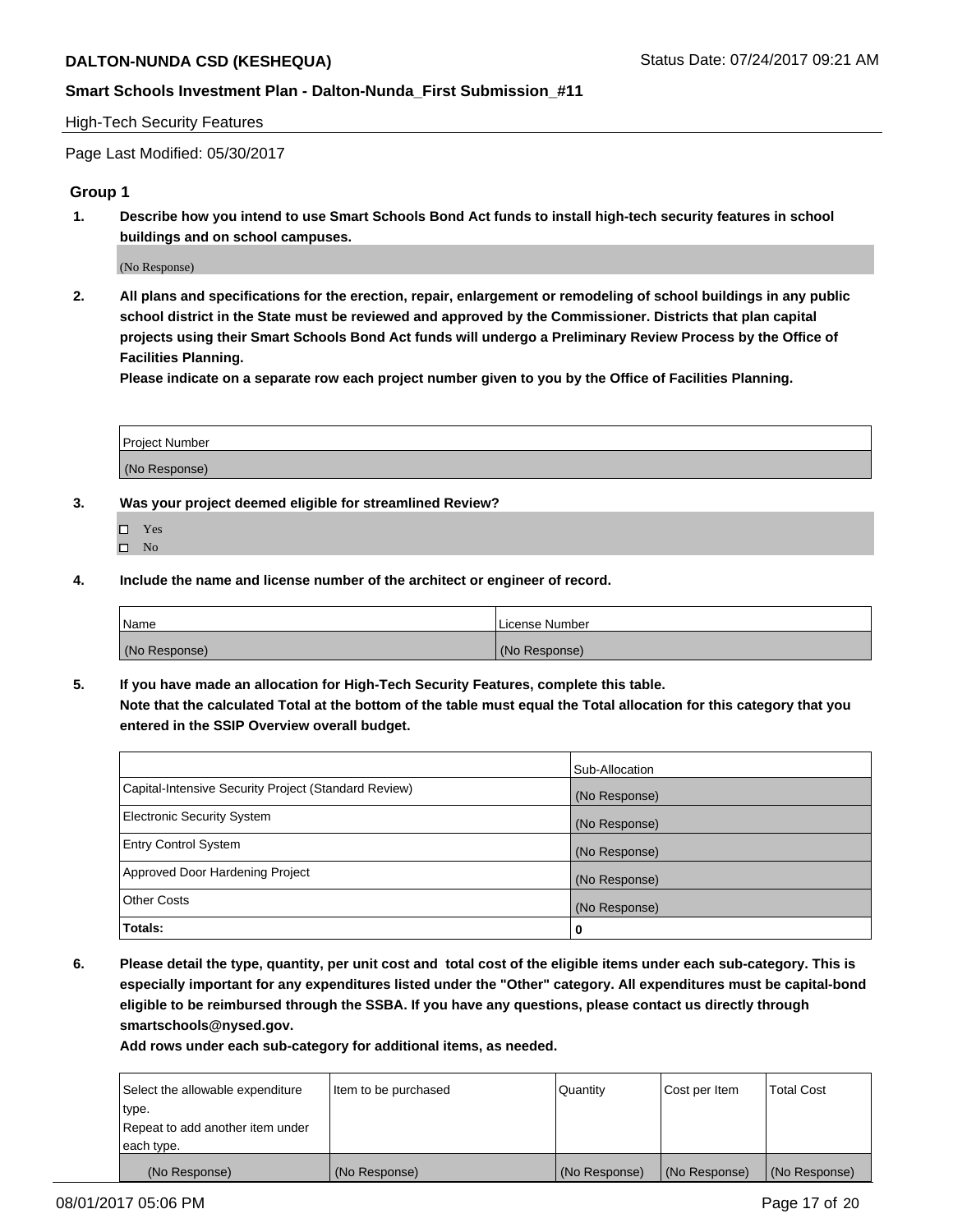## **Smart Schools Investment Plan - Dalton-Nunda\_First Submission\_#11**

#### High-Tech Security Features

Page Last Modified: 05/30/2017

#### **Group 1**

**1. Describe how you intend to use Smart Schools Bond Act funds to install high-tech security features in school buildings and on school campuses.**

(No Response)

**2. All plans and specifications for the erection, repair, enlargement or remodeling of school buildings in any public school district in the State must be reviewed and approved by the Commissioner. Districts that plan capital projects using their Smart Schools Bond Act funds will undergo a Preliminary Review Process by the Office of Facilities Planning.** 

**Please indicate on a separate row each project number given to you by the Office of Facilities Planning.**

| Project Number |  |
|----------------|--|
|                |  |
| (No Response)  |  |

- **3. Was your project deemed eligible for streamlined Review?**
	- Yes  $\hfill \square$  No
- **4. Include the name and license number of the architect or engineer of record.**

| <b>Name</b>   | License Number |
|---------------|----------------|
| (No Response) | (No Response)  |

**5. If you have made an allocation for High-Tech Security Features, complete this table. Note that the calculated Total at the bottom of the table must equal the Total allocation for this category that you entered in the SSIP Overview overall budget.**

|                                                      | Sub-Allocation |
|------------------------------------------------------|----------------|
| Capital-Intensive Security Project (Standard Review) | (No Response)  |
| Electronic Security System                           | (No Response)  |
| <b>Entry Control System</b>                          | (No Response)  |
| Approved Door Hardening Project                      | (No Response)  |
| <b>Other Costs</b>                                   | (No Response)  |
| Totals:                                              | 0              |

**6. Please detail the type, quantity, per unit cost and total cost of the eligible items under each sub-category. This is especially important for any expenditures listed under the "Other" category. All expenditures must be capital-bond eligible to be reimbursed through the SSBA. If you have any questions, please contact us directly through smartschools@nysed.gov.**

| (No Response)                    | (No Response)        | (No Response)   | (No Response) | (No Response)     |
|----------------------------------|----------------------|-----------------|---------------|-------------------|
| each type.                       |                      |                 |               |                   |
| Repeat to add another item under |                      |                 |               |                   |
| type.                            |                      |                 |               |                   |
| Select the allowable expenditure | Item to be purchased | <b>Quantity</b> | Cost per Item | <b>Total Cost</b> |
|                                  |                      |                 |               |                   |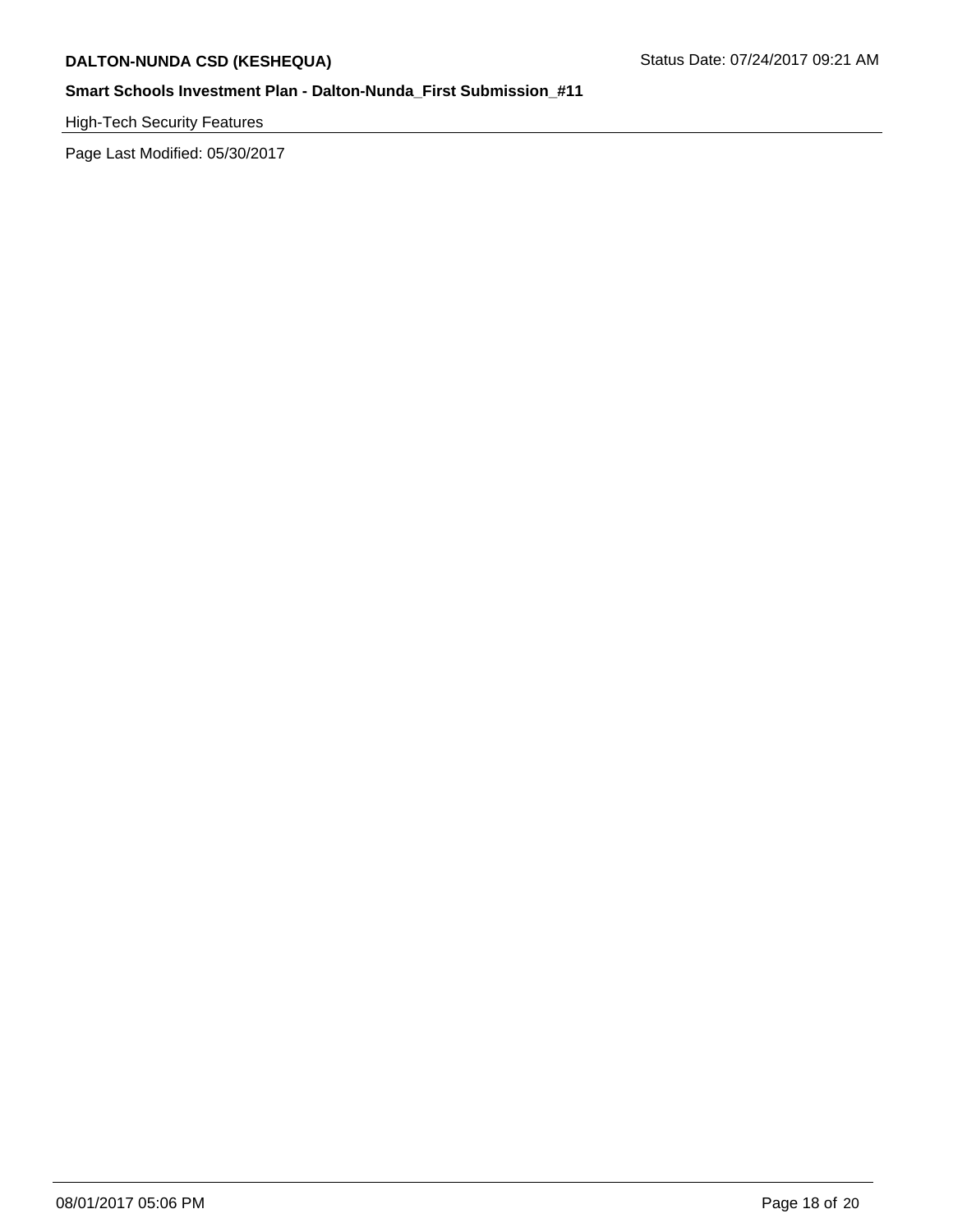High-Tech Security Features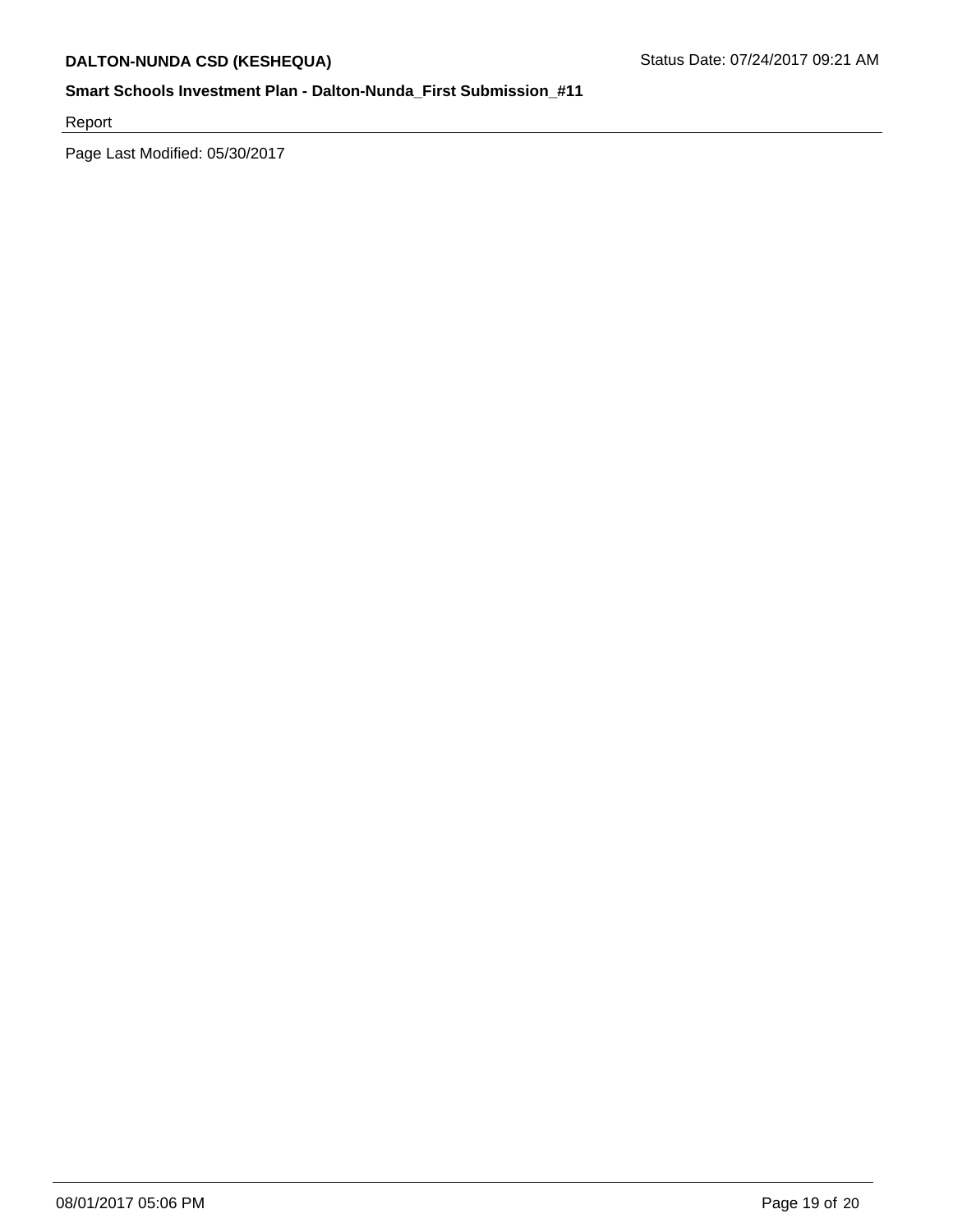Report